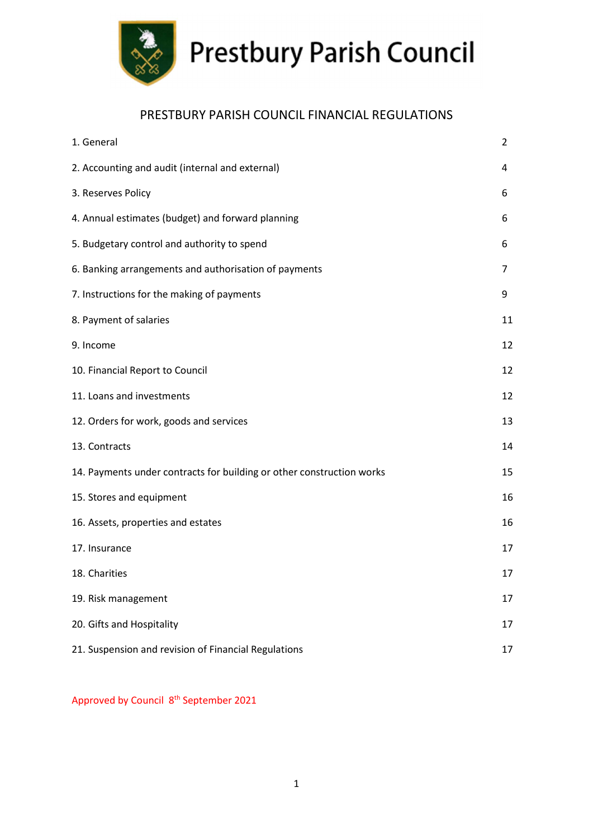

### PRESTBURY PARISH COUNCIL FINANCIAL REGULATIONS

| 1. General                                                            | 2  |
|-----------------------------------------------------------------------|----|
| 2. Accounting and audit (internal and external)                       | 4  |
| 3. Reserves Policy                                                    | 6  |
| 4. Annual estimates (budget) and forward planning                     | 6  |
| 5. Budgetary control and authority to spend                           | 6  |
| 6. Banking arrangements and authorisation of payments                 | 7  |
| 7. Instructions for the making of payments                            | 9  |
| 8. Payment of salaries                                                | 11 |
| 9. Income                                                             | 12 |
| 10. Financial Report to Council                                       | 12 |
| 11. Loans and investments                                             | 12 |
| 12. Orders for work, goods and services                               | 13 |
| 13. Contracts                                                         | 14 |
| 14. Payments under contracts for building or other construction works | 15 |
| 15. Stores and equipment                                              | 16 |
| 16. Assets, properties and estates                                    | 16 |
| 17. Insurance                                                         | 17 |
| 18. Charities                                                         | 17 |
| 19. Risk management                                                   | 17 |
| 20. Gifts and Hospitality                                             | 17 |
| 21. Suspension and revision of Financial Regulations                  | 17 |

Approved by Council 8<sup>th</sup> September 2021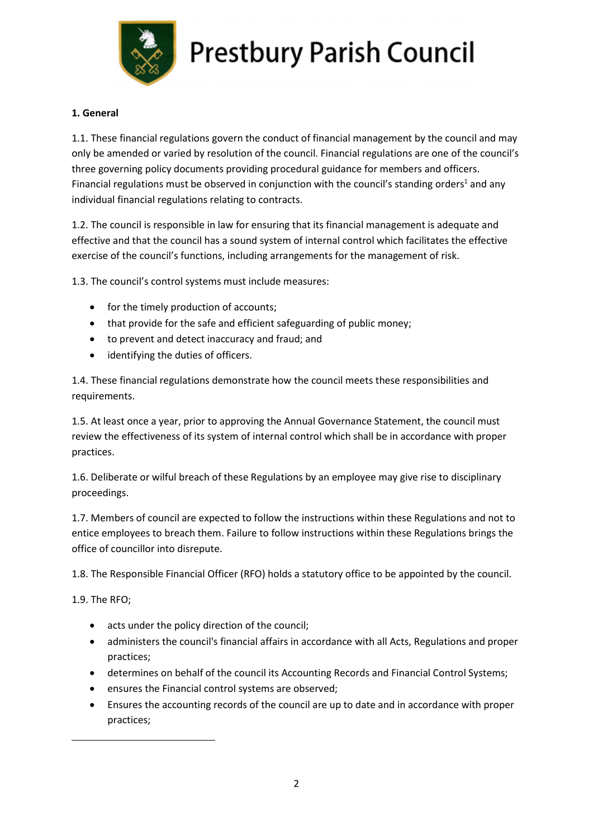

#### 1. General

1.1. These financial regulations govern the conduct of financial management by the council and may only be amended or varied by resolution of the council. Financial regulations are one of the council's three governing policy documents providing procedural guidance for members and officers. Financial regulations must be observed in conjunction with the council's standing orders<sup>1</sup> and any individual financial regulations relating to contracts.

1.2. The council is responsible in law for ensuring that its financial management is adequate and effective and that the council has a sound system of internal control which facilitates the effective exercise of the council's functions, including arrangements for the management of risk.

1.3. The council's control systems must include measures:

- for the timely production of accounts;
- that provide for the safe and efficient safeguarding of public money;
- to prevent and detect inaccuracy and fraud; and
- identifying the duties of officers.

1.4. These financial regulations demonstrate how the council meets these responsibilities and requirements.

1.5. At least once a year, prior to approving the Annual Governance Statement, the council must review the effectiveness of its system of internal control which shall be in accordance with proper practices.

1.6. Deliberate or wilful breach of these Regulations by an employee may give rise to disciplinary proceedings.

1.7. Members of council are expected to follow the instructions within these Regulations and not to entice employees to breach them. Failure to follow instructions within these Regulations brings the office of councillor into disrepute.

1.8. The Responsible Financial Officer (RFO) holds a statutory office to be appointed by the council.

1.9. The RFO;

- acts under the policy direction of the council;
- administers the council's financial affairs in accordance with all Acts, Regulations and proper practices;
- determines on behalf of the council its Accounting Records and Financial Control Systems;
- ensures the Financial control systems are observed;
- Ensures the accounting records of the council are up to date and in accordance with proper practices;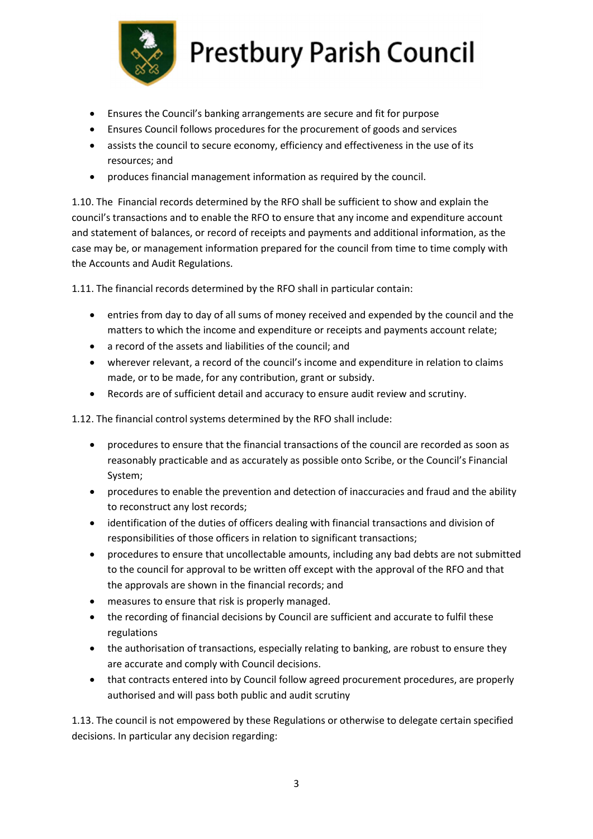

- Ensures the Council's banking arrangements are secure and fit for purpose
- Ensures Council follows procedures for the procurement of goods and services
- assists the council to secure economy, efficiency and effectiveness in the use of its resources; and
- produces financial management information as required by the council.

1.10. The Financial records determined by the RFO shall be sufficient to show and explain the council's transactions and to enable the RFO to ensure that any income and expenditure account and statement of balances, or record of receipts and payments and additional information, as the case may be, or management information prepared for the council from time to time comply with the Accounts and Audit Regulations.

1.11. The financial records determined by the RFO shall in particular contain:

- entries from day to day of all sums of money received and expended by the council and the matters to which the income and expenditure or receipts and payments account relate;
- a record of the assets and liabilities of the council; and
- wherever relevant, a record of the council's income and expenditure in relation to claims made, or to be made, for any contribution, grant or subsidy.
- Records are of sufficient detail and accuracy to ensure audit review and scrutiny.

1.12. The financial control systems determined by the RFO shall include:

- procedures to ensure that the financial transactions of the council are recorded as soon as reasonably practicable and as accurately as possible onto Scribe, or the Council's Financial System;
- procedures to enable the prevention and detection of inaccuracies and fraud and the ability to reconstruct any lost records;
- identification of the duties of officers dealing with financial transactions and division of responsibilities of those officers in relation to significant transactions;
- procedures to ensure that uncollectable amounts, including any bad debts are not submitted to the council for approval to be written off except with the approval of the RFO and that the approvals are shown in the financial records; and
- measures to ensure that risk is properly managed.
- the recording of financial decisions by Council are sufficient and accurate to fulfil these regulations
- the authorisation of transactions, especially relating to banking, are robust to ensure they are accurate and comply with Council decisions.
- that contracts entered into by Council follow agreed procurement procedures, are properly authorised and will pass both public and audit scrutiny

1.13. The council is not empowered by these Regulations or otherwise to delegate certain specified decisions. In particular any decision regarding: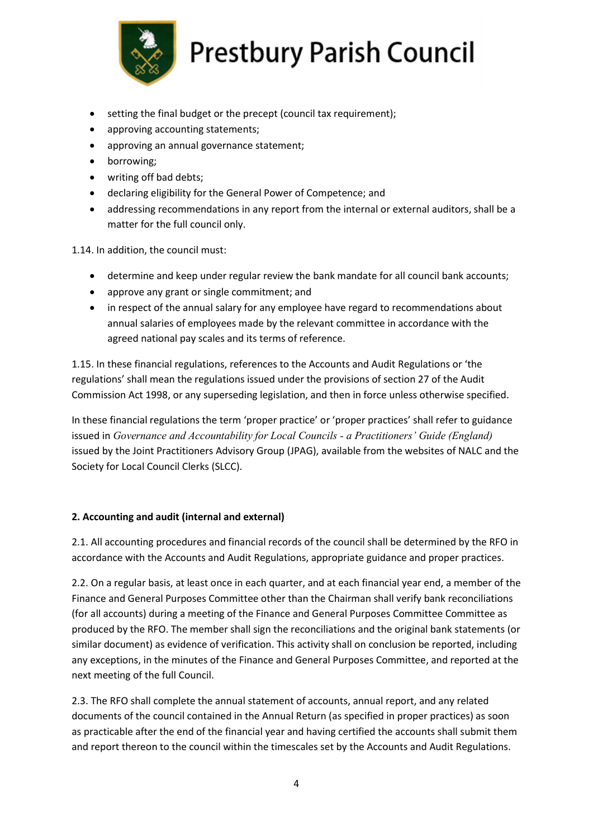

- setting the final budget or the precept (council tax requirement);
- approving accounting statements;
- approving an annual governance statement;
- borrowing;
- writing off bad debts;
- declaring eligibility for the General Power of Competence; and
- addressing recommendations in any report from the internal or external auditors, shall be a matter for the full council only.

1.14. In addition, the council must:

- determine and keep under regular review the bank mandate for all council bank accounts;
- approve any grant or single commitment; and
- in respect of the annual salary for any employee have regard to recommendations about annual salaries of employees made by the relevant committee in accordance with the agreed national pay scales and its terms of reference.

1.15. In these financial regulations, references to the Accounts and Audit Regulations or 'the regulations' shall mean the regulations issued under the provisions of section 27 of the Audit Commission Act 1998, or any superseding legislation, and then in force unless otherwise specified.

In these financial regulations the term 'proper practice' or 'proper practices' shall refer to guidance issued in Governance and Accountability for Local Councils - a Practitioners' Guide (England) issued by the Joint Practitioners Advisory Group (JPAG), available from the websites of NALC and the Society for Local Council Clerks (SLCC).

#### 2. Accounting and audit (internal and external)

2.1. All accounting procedures and financial records of the council shall be determined by the RFO in accordance with the Accounts and Audit Regulations, appropriate guidance and proper practices.

2.2. On a regular basis, at least once in each quarter, and at each financial year end, a member of the Finance and General Purposes Committee other than the Chairman shall verify bank reconciliations (for all accounts) during a meeting of the Finance and General Purposes Committee Committee as produced by the RFO. The member shall sign the reconciliations and the original bank statements (or similar document) as evidence of verification. This activity shall on conclusion be reported, including any exceptions, in the minutes of the Finance and General Purposes Committee, and reported at the next meeting of the full Council.

2.3. The RFO shall complete the annual statement of accounts, annual report, and any related documents of the council contained in the Annual Return (as specified in proper practices) as soon as practicable after the end of the financial year and having certified the accounts shall submit them and report thereon to the council within the timescales set by the Accounts and Audit Regulations.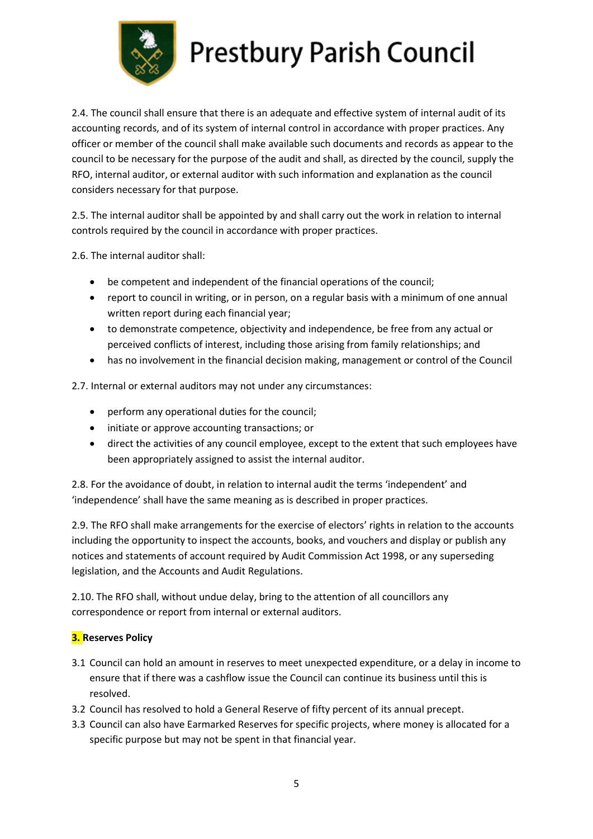

2.4. The council shall ensure that there is an adequate and effective system of internal audit of its accounting records, and of its system of internal control in accordance with proper practices. Any officer or member of the council shall make available such documents and records as appear to the council to be necessary for the purpose of the audit and shall, as directed by the council, supply the RFO, internal auditor, or external auditor with such information and explanation as the council considers necessary for that purpose.

2.5. The internal auditor shall be appointed by and shall carry out the work in relation to internal controls required by the council in accordance with proper practices.

2.6. The internal auditor shall:

- be competent and independent of the financial operations of the council;
- report to council in writing, or in person, on a regular basis with a minimum of one annual written report during each financial year;
- to demonstrate competence, objectivity and independence, be free from any actual or perceived conflicts of interest, including those arising from family relationships; and
- has no involvement in the financial decision making, management or control of the Council

2.7. Internal or external auditors may not under any circumstances:

- perform any operational duties for the council;
- $\bullet$  initiate or approve accounting transactions; or
- direct the activities of any council employee, except to the extent that such employees have been appropriately assigned to assist the internal auditor.

2.8. For the avoidance of doubt, in relation to internal audit the terms 'independent' and 'independence' shall have the same meaning as is described in proper practices.

2.9. The RFO shall make arrangements for the exercise of electors' rights in relation to the accounts including the opportunity to inspect the accounts, books, and vouchers and display or publish any notices and statements of account required by Audit Commission Act 1998, or any superseding legislation, and the Accounts and Audit Regulations.

2.10. The RFO shall, without undue delay, bring to the attention of all councillors any correspondence or report from internal or external auditors.

#### **3.** Reserves Policy

- 3.1 Council can hold an amount in reserves to meet unexpected expenditure, or a delay in income to ensure that if there was a cashflow issue the Council can continue its business until this is resolved.
- 3.2 Council has resolved to hold a General Reserve of fifty percent of its annual precept.
- 3.3 Council can also have Earmarked Reserves for specific projects, where money is allocated for a specific purpose but may not be spent in that financial year.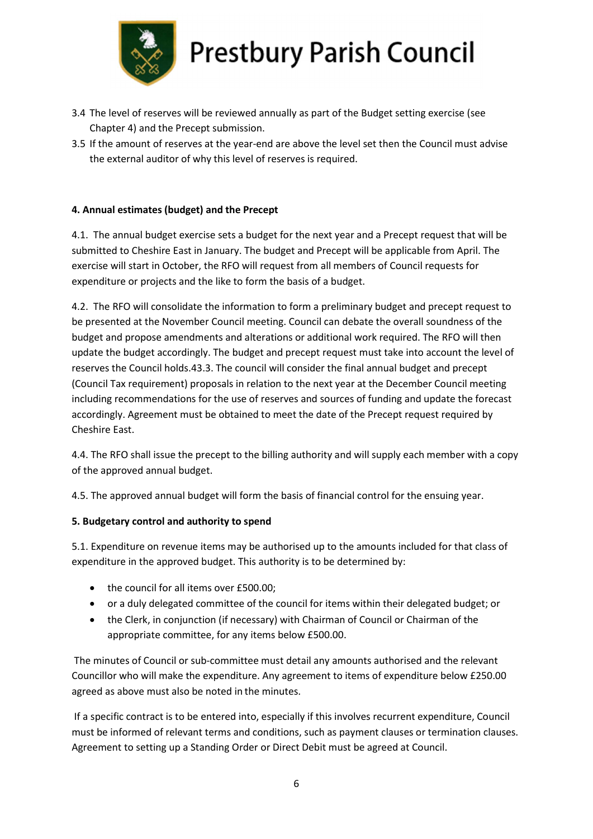

- 3.4 The level of reserves will be reviewed annually as part of the Budget setting exercise (see Chapter 4) and the Precept submission.
- 3.5 If the amount of reserves at the year-end are above the level set then the Council must advise the external auditor of why this level of reserves is required.

#### 4. Annual estimates (budget) and the Precept

4.1. The annual budget exercise sets a budget for the next year and a Precept request that will be submitted to Cheshire East in January. The budget and Precept will be applicable from April. The exercise will start in October, the RFO will request from all members of Council requests for expenditure or projects and the like to form the basis of a budget.

4.2. The RFO will consolidate the information to form a preliminary budget and precept request to be presented at the November Council meeting. Council can debate the overall soundness of the budget and propose amendments and alterations or additional work required. The RFO will then update the budget accordingly. The budget and precept request must take into account the level of reserves the Council holds.43.3. The council will consider the final annual budget and precept (Council Tax requirement) proposals in relation to the next year at the December Council meeting including recommendations for the use of reserves and sources of funding and update the forecast accordingly. Agreement must be obtained to meet the date of the Precept request required by Cheshire East.

4.4. The RFO shall issue the precept to the billing authority and will supply each member with a copy of the approved annual budget.

4.5. The approved annual budget will form the basis of financial control for the ensuing year.

#### 5. Budgetary control and authority to spend

5.1. Expenditure on revenue items may be authorised up to the amounts included for that class of expenditure in the approved budget. This authority is to be determined by:

- the council for all items over £500.00;
- or a duly delegated committee of the council for items within their delegated budget; or
- the Clerk, in conjunction (if necessary) with Chairman of Council or Chairman of the appropriate committee, for any items below £500.00.

 The minutes of Council or sub-committee must detail any amounts authorised and the relevant Councillor who will make the expenditure. Any agreement to items of expenditure below £250.00 agreed as above must also be noted in the minutes.

 If a specific contract is to be entered into, especially if this involves recurrent expenditure, Council must be informed of relevant terms and conditions, such as payment clauses or termination clauses. Agreement to setting up a Standing Order or Direct Debit must be agreed at Council.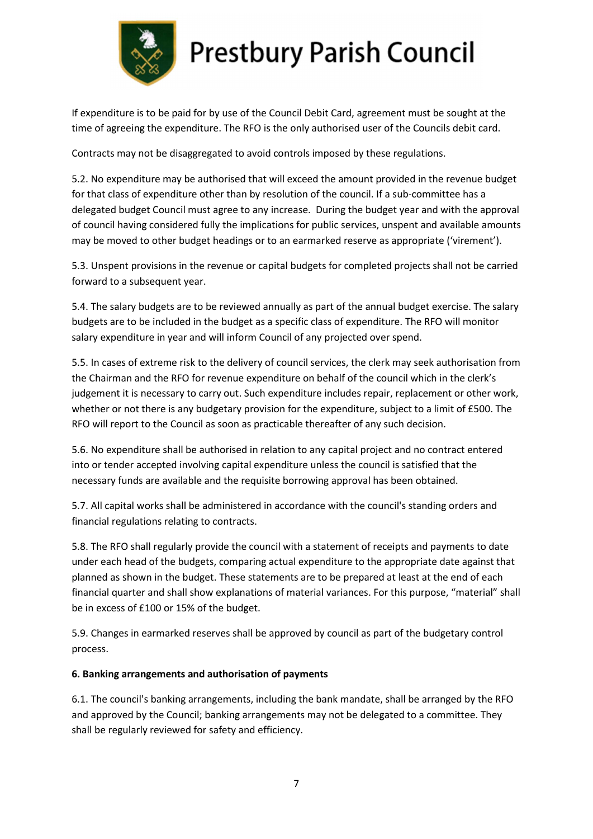

If expenditure is to be paid for by use of the Council Debit Card, agreement must be sought at the time of agreeing the expenditure. The RFO is the only authorised user of the Councils debit card.

Contracts may not be disaggregated to avoid controls imposed by these regulations.

5.2. No expenditure may be authorised that will exceed the amount provided in the revenue budget for that class of expenditure other than by resolution of the council. If a sub-committee has a delegated budget Council must agree to any increase. During the budget year and with the approval of council having considered fully the implications for public services, unspent and available amounts may be moved to other budget headings or to an earmarked reserve as appropriate ('virement').

5.3. Unspent provisions in the revenue or capital budgets for completed projects shall not be carried forward to a subsequent year.

5.4. The salary budgets are to be reviewed annually as part of the annual budget exercise. The salary budgets are to be included in the budget as a specific class of expenditure. The RFO will monitor salary expenditure in year and will inform Council of any projected over spend.

5.5. In cases of extreme risk to the delivery of council services, the clerk may seek authorisation from the Chairman and the RFO for revenue expenditure on behalf of the council which in the clerk's judgement it is necessary to carry out. Such expenditure includes repair, replacement or other work, whether or not there is any budgetary provision for the expenditure, subject to a limit of £500. The RFO will report to the Council as soon as practicable thereafter of any such decision.

5.6. No expenditure shall be authorised in relation to any capital project and no contract entered into or tender accepted involving capital expenditure unless the council is satisfied that the necessary funds are available and the requisite borrowing approval has been obtained.

5.7. All capital works shall be administered in accordance with the council's standing orders and financial regulations relating to contracts.

5.8. The RFO shall regularly provide the council with a statement of receipts and payments to date under each head of the budgets, comparing actual expenditure to the appropriate date against that planned as shown in the budget. These statements are to be prepared at least at the end of each financial quarter and shall show explanations of material variances. For this purpose, "material" shall be in excess of £100 or 15% of the budget.

5.9. Changes in earmarked reserves shall be approved by council as part of the budgetary control process.

#### 6. Banking arrangements and authorisation of payments

6.1. The council's banking arrangements, including the bank mandate, shall be arranged by the RFO and approved by the Council; banking arrangements may not be delegated to a committee. They shall be regularly reviewed for safety and efficiency.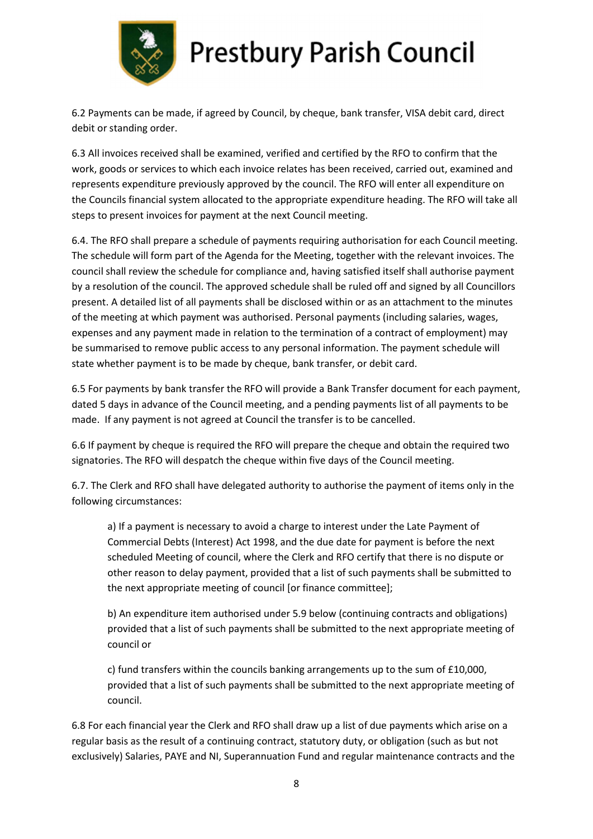

6.2 Payments can be made, if agreed by Council, by cheque, bank transfer, VISA debit card, direct debit or standing order.

6.3 All invoices received shall be examined, verified and certified by the RFO to confirm that the work, goods or services to which each invoice relates has been received, carried out, examined and represents expenditure previously approved by the council. The RFO will enter all expenditure on the Councils financial system allocated to the appropriate expenditure heading. The RFO will take all steps to present invoices for payment at the next Council meeting.

6.4. The RFO shall prepare a schedule of payments requiring authorisation for each Council meeting. The schedule will form part of the Agenda for the Meeting, together with the relevant invoices. The council shall review the schedule for compliance and, having satisfied itself shall authorise payment by a resolution of the council. The approved schedule shall be ruled off and signed by all Councillors present. A detailed list of all payments shall be disclosed within or as an attachment to the minutes of the meeting at which payment was authorised. Personal payments (including salaries, wages, expenses and any payment made in relation to the termination of a contract of employment) may be summarised to remove public access to any personal information. The payment schedule will state whether payment is to be made by cheque, bank transfer, or debit card.

6.5 For payments by bank transfer the RFO will provide a Bank Transfer document for each payment, dated 5 days in advance of the Council meeting, and a pending payments list of all payments to be made. If any payment is not agreed at Council the transfer is to be cancelled.

6.6 If payment by cheque is required the RFO will prepare the cheque and obtain the required two signatories. The RFO will despatch the cheque within five days of the Council meeting.

6.7. The Clerk and RFO shall have delegated authority to authorise the payment of items only in the following circumstances:

a) If a payment is necessary to avoid a charge to interest under the Late Payment of Commercial Debts (Interest) Act 1998, and the due date for payment is before the next scheduled Meeting of council, where the Clerk and RFO certify that there is no dispute or other reason to delay payment, provided that a list of such payments shall be submitted to the next appropriate meeting of council [or finance committee];

b) An expenditure item authorised under 5.9 below (continuing contracts and obligations) provided that a list of such payments shall be submitted to the next appropriate meeting of council or

c) fund transfers within the councils banking arrangements up to the sum of £10,000, provided that a list of such payments shall be submitted to the next appropriate meeting of council.

6.8 For each financial year the Clerk and RFO shall draw up a list of due payments which arise on a regular basis as the result of a continuing contract, statutory duty, or obligation (such as but not exclusively) Salaries, PAYE and NI, Superannuation Fund and regular maintenance contracts and the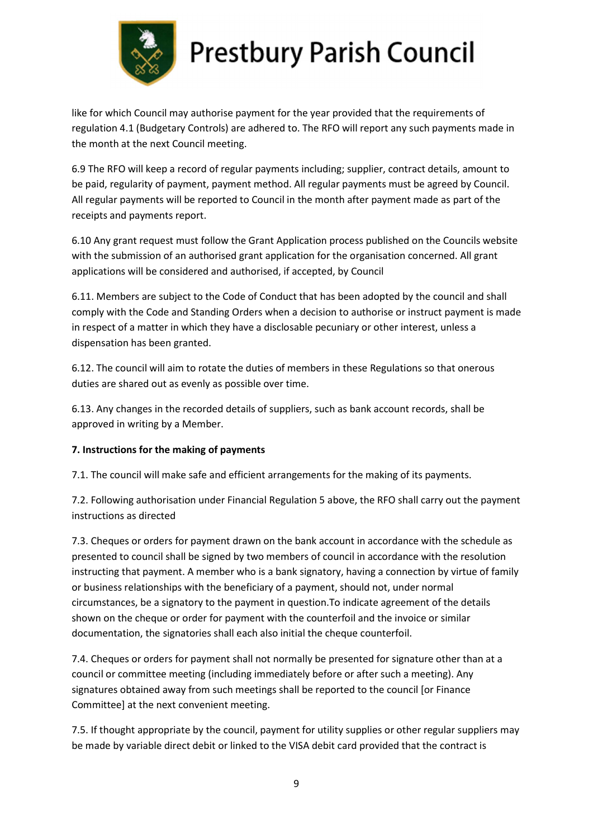

like for which Council may authorise payment for the year provided that the requirements of regulation 4.1 (Budgetary Controls) are adhered to. The RFO will report any such payments made in the month at the next Council meeting.

6.9 The RFO will keep a record of regular payments including; supplier, contract details, amount to be paid, regularity of payment, payment method. All regular payments must be agreed by Council. All regular payments will be reported to Council in the month after payment made as part of the receipts and payments report.

6.10 Any grant request must follow the Grant Application process published on the Councils website with the submission of an authorised grant application for the organisation concerned. All grant applications will be considered and authorised, if accepted, by Council

6.11. Members are subject to the Code of Conduct that has been adopted by the council and shall comply with the Code and Standing Orders when a decision to authorise or instruct payment is made in respect of a matter in which they have a disclosable pecuniary or other interest, unless a dispensation has been granted.

6.12. The council will aim to rotate the duties of members in these Regulations so that onerous duties are shared out as evenly as possible over time.

6.13. Any changes in the recorded details of suppliers, such as bank account records, shall be approved in writing by a Member.

#### 7. Instructions for the making of payments

7.1. The council will make safe and efficient arrangements for the making of its payments.

7.2. Following authorisation under Financial Regulation 5 above, the RFO shall carry out the payment instructions as directed

7.3. Cheques or orders for payment drawn on the bank account in accordance with the schedule as presented to council shall be signed by two members of council in accordance with the resolution instructing that payment. A member who is a bank signatory, having a connection by virtue of family or business relationships with the beneficiary of a payment, should not, under normal circumstances, be a signatory to the payment in question.To indicate agreement of the details shown on the cheque or order for payment with the counterfoil and the invoice or similar documentation, the signatories shall each also initial the cheque counterfoil.

7.4. Cheques or orders for payment shall not normally be presented for signature other than at a council or committee meeting (including immediately before or after such a meeting). Any signatures obtained away from such meetings shall be reported to the council [or Finance Committee] at the next convenient meeting.

7.5. If thought appropriate by the council, payment for utility supplies or other regular suppliers may be made by variable direct debit or linked to the VISA debit card provided that the contract is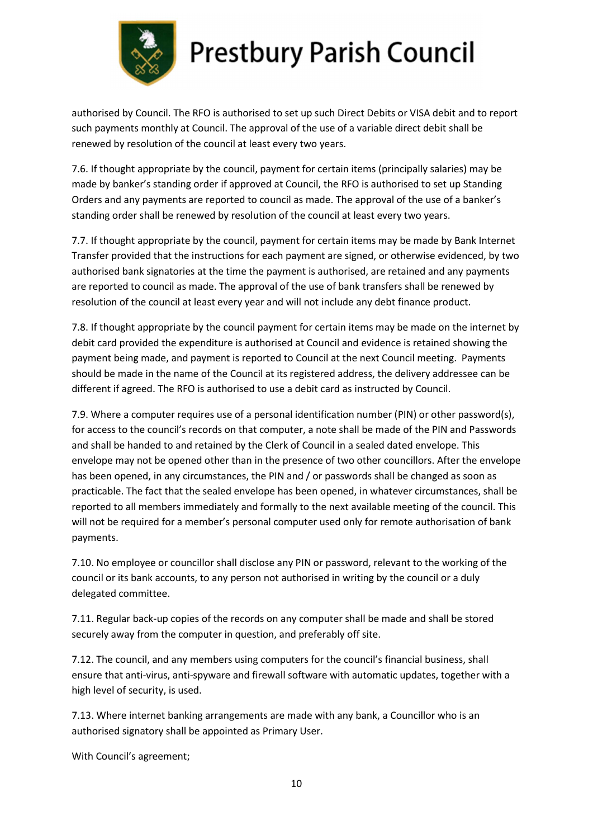

authorised by Council. The RFO is authorised to set up such Direct Debits or VISA debit and to report such payments monthly at Council. The approval of the use of a variable direct debit shall be renewed by resolution of the council at least every two years.

7.6. If thought appropriate by the council, payment for certain items (principally salaries) may be made by banker's standing order if approved at Council, the RFO is authorised to set up Standing Orders and any payments are reported to council as made. The approval of the use of a banker's standing order shall be renewed by resolution of the council at least every two years.

7.7. If thought appropriate by the council, payment for certain items may be made by Bank Internet Transfer provided that the instructions for each payment are signed, or otherwise evidenced, by two authorised bank signatories at the time the payment is authorised, are retained and any payments are reported to council as made. The approval of the use of bank transfers shall be renewed by resolution of the council at least every year and will not include any debt finance product.

7.8. If thought appropriate by the council payment for certain items may be made on the internet by debit card provided the expenditure is authorised at Council and evidence is retained showing the payment being made, and payment is reported to Council at the next Council meeting. Payments should be made in the name of the Council at its registered address, the delivery addressee can be different if agreed. The RFO is authorised to use a debit card as instructed by Council.

7.9. Where a computer requires use of a personal identification number (PIN) or other password(s), for access to the council's records on that computer, a note shall be made of the PIN and Passwords and shall be handed to and retained by the Clerk of Council in a sealed dated envelope. This envelope may not be opened other than in the presence of two other councillors. After the envelope has been opened, in any circumstances, the PIN and / or passwords shall be changed as soon as practicable. The fact that the sealed envelope has been opened, in whatever circumstances, shall be reported to all members immediately and formally to the next available meeting of the council. This will not be required for a member's personal computer used only for remote authorisation of bank payments.

7.10. No employee or councillor shall disclose any PIN or password, relevant to the working of the council or its bank accounts, to any person not authorised in writing by the council or a duly delegated committee.

7.11. Regular back-up copies of the records on any computer shall be made and shall be stored securely away from the computer in question, and preferably off site.

7.12. The council, and any members using computers for the council's financial business, shall ensure that anti-virus, anti-spyware and firewall software with automatic updates, together with a high level of security, is used.

7.13. Where internet banking arrangements are made with any bank, a Councillor who is an authorised signatory shall be appointed as Primary User.

With Council's agreement;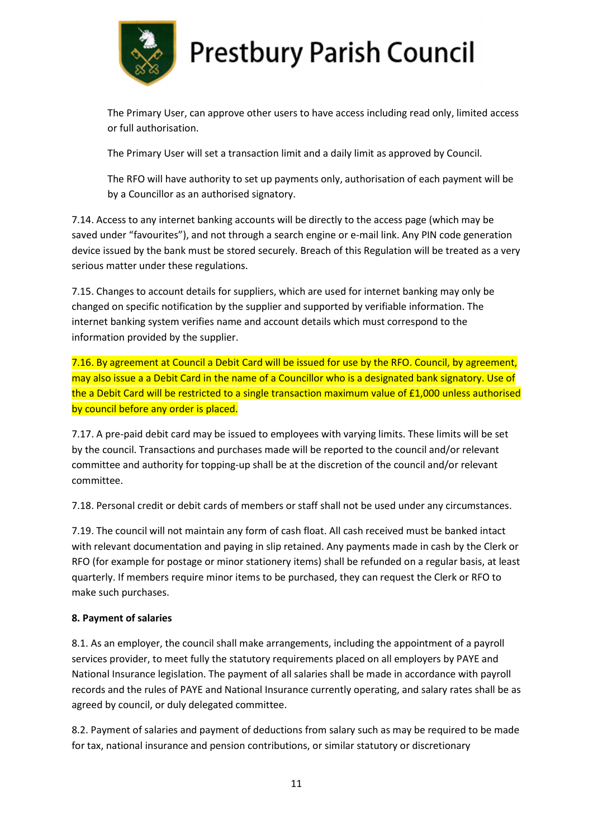

The Primary User, can approve other users to have access including read only, limited access or full authorisation.

The Primary User will set a transaction limit and a daily limit as approved by Council.

The RFO will have authority to set up payments only, authorisation of each payment will be by a Councillor as an authorised signatory.

7.14. Access to any internet banking accounts will be directly to the access page (which may be saved under "favourites"), and not through a search engine or e-mail link. Any PIN code generation device issued by the bank must be stored securely. Breach of this Regulation will be treated as a very serious matter under these regulations.

7.15. Changes to account details for suppliers, which are used for internet banking may only be changed on specific notification by the supplier and supported by verifiable information. The internet banking system verifies name and account details which must correspond to the information provided by the supplier.

7.16. By agreement at Council a Debit Card will be issued for use by the RFO. Council, by agreement, may also issue a a Debit Card in the name of a Councillor who is a designated bank signatory. Use of the a Debit Card will be restricted to a single transaction maximum value of £1,000 unless authorised by council before any order is placed.

7.17. A pre-paid debit card may be issued to employees with varying limits. These limits will be set by the council. Transactions and purchases made will be reported to the council and/or relevant committee and authority for topping-up shall be at the discretion of the council and/or relevant committee.

7.18. Personal credit or debit cards of members or staff shall not be used under any circumstances.

7.19. The council will not maintain any form of cash float. All cash received must be banked intact with relevant documentation and paying in slip retained. Any payments made in cash by the Clerk or RFO (for example for postage or minor stationery items) shall be refunded on a regular basis, at least quarterly. If members require minor items to be purchased, they can request the Clerk or RFO to make such purchases.

#### 8. Payment of salaries

8.1. As an employer, the council shall make arrangements, including the appointment of a payroll services provider, to meet fully the statutory requirements placed on all employers by PAYE and National Insurance legislation. The payment of all salaries shall be made in accordance with payroll records and the rules of PAYE and National Insurance currently operating, and salary rates shall be as agreed by council, or duly delegated committee.

8.2. Payment of salaries and payment of deductions from salary such as may be required to be made for tax, national insurance and pension contributions, or similar statutory or discretionary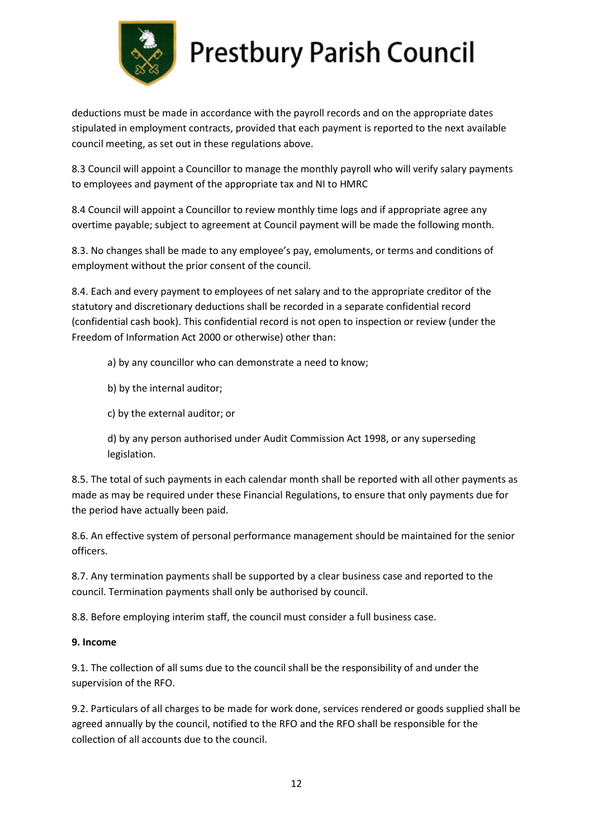

deductions must be made in accordance with the payroll records and on the appropriate dates stipulated in employment contracts, provided that each payment is reported to the next available council meeting, as set out in these regulations above.

8.3 Council will appoint a Councillor to manage the monthly payroll who will verify salary payments to employees and payment of the appropriate tax and NI to HMRC

8.4 Council will appoint a Councillor to review monthly time logs and if appropriate agree any overtime payable; subject to agreement at Council payment will be made the following month.

8.3. No changes shall be made to any employee's pay, emoluments, or terms and conditions of employment without the prior consent of the council.

8.4. Each and every payment to employees of net salary and to the appropriate creditor of the statutory and discretionary deductions shall be recorded in a separate confidential record (confidential cash book). This confidential record is not open to inspection or review (under the Freedom of Information Act 2000 or otherwise) other than:

a) by any councillor who can demonstrate a need to know;

b) by the internal auditor;

c) by the external auditor; or

d) by any person authorised under Audit Commission Act 1998, or any superseding legislation.

8.5. The total of such payments in each calendar month shall be reported with all other payments as made as may be required under these Financial Regulations, to ensure that only payments due for the period have actually been paid.

8.6. An effective system of personal performance management should be maintained for the senior officers.

8.7. Any termination payments shall be supported by a clear business case and reported to the council. Termination payments shall only be authorised by council.

8.8. Before employing interim staff, the council must consider a full business case.

#### 9. Income

9.1. The collection of all sums due to the council shall be the responsibility of and under the supervision of the RFO.

9.2. Particulars of all charges to be made for work done, services rendered or goods supplied shall be agreed annually by the council, notified to the RFO and the RFO shall be responsible for the collection of all accounts due to the council.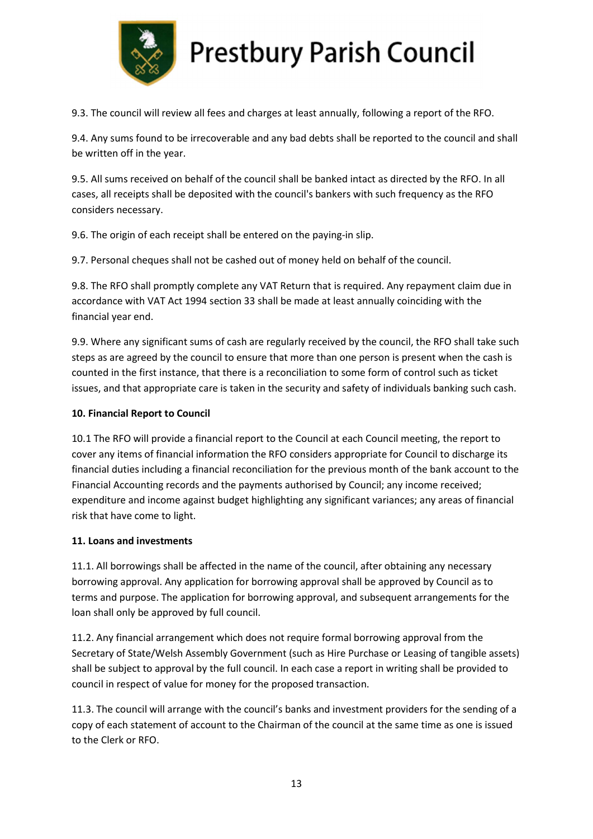

9.3. The council will review all fees and charges at least annually, following a report of the RFO.

9.4. Any sums found to be irrecoverable and any bad debts shall be reported to the council and shall be written off in the year.

9.5. All sums received on behalf of the council shall be banked intact as directed by the RFO. In all cases, all receipts shall be deposited with the council's bankers with such frequency as the RFO considers necessary.

9.6. The origin of each receipt shall be entered on the paying-in slip.

9.7. Personal cheques shall not be cashed out of money held on behalf of the council.

9.8. The RFO shall promptly complete any VAT Return that is required. Any repayment claim due in accordance with VAT Act 1994 section 33 shall be made at least annually coinciding with the financial year end.

9.9. Where any significant sums of cash are regularly received by the council, the RFO shall take such steps as are agreed by the council to ensure that more than one person is present when the cash is counted in the first instance, that there is a reconciliation to some form of control such as ticket issues, and that appropriate care is taken in the security and safety of individuals banking such cash.

#### 10. Financial Report to Council

10.1 The RFO will provide a financial report to the Council at each Council meeting, the report to cover any items of financial information the RFO considers appropriate for Council to discharge its financial duties including a financial reconciliation for the previous month of the bank account to the Financial Accounting records and the payments authorised by Council; any income received; expenditure and income against budget highlighting any significant variances; any areas of financial risk that have come to light.

#### 11. Loans and investments

11.1. All borrowings shall be affected in the name of the council, after obtaining any necessary borrowing approval. Any application for borrowing approval shall be approved by Council as to terms and purpose. The application for borrowing approval, and subsequent arrangements for the loan shall only be approved by full council.

11.2. Any financial arrangement which does not require formal borrowing approval from the Secretary of State/Welsh Assembly Government (such as Hire Purchase or Leasing of tangible assets) shall be subject to approval by the full council. In each case a report in writing shall be provided to council in respect of value for money for the proposed transaction.

11.3. The council will arrange with the council's banks and investment providers for the sending of a copy of each statement of account to the Chairman of the council at the same time as one is issued to the Clerk or RFO.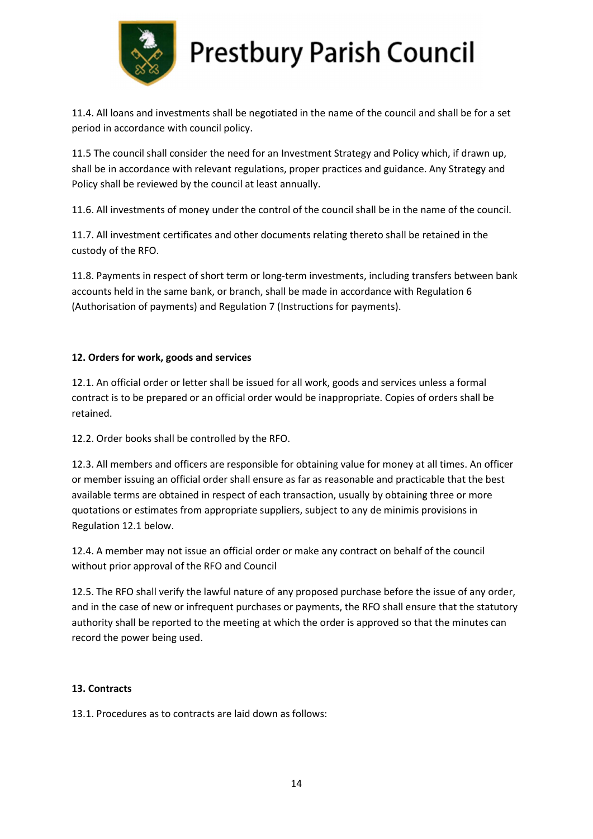

11.4. All loans and investments shall be negotiated in the name of the council and shall be for a set period in accordance with council policy.

11.5 The council shall consider the need for an Investment Strategy and Policy which, if drawn up, shall be in accordance with relevant regulations, proper practices and guidance. Any Strategy and Policy shall be reviewed by the council at least annually.

11.6. All investments of money under the control of the council shall be in the name of the council.

11.7. All investment certificates and other documents relating thereto shall be retained in the custody of the RFO.

11.8. Payments in respect of short term or long-term investments, including transfers between bank accounts held in the same bank, or branch, shall be made in accordance with Regulation 6 (Authorisation of payments) and Regulation 7 (Instructions for payments).

#### 12. Orders for work, goods and services

12.1. An official order or letter shall be issued for all work, goods and services unless a formal contract is to be prepared or an official order would be inappropriate. Copies of orders shall be retained.

12.2. Order books shall be controlled by the RFO.

12.3. All members and officers are responsible for obtaining value for money at all times. An officer or member issuing an official order shall ensure as far as reasonable and practicable that the best available terms are obtained in respect of each transaction, usually by obtaining three or more quotations or estimates from appropriate suppliers, subject to any de minimis provisions in Regulation 12.1 below.

12.4. A member may not issue an official order or make any contract on behalf of the council without prior approval of the RFO and Council

12.5. The RFO shall verify the lawful nature of any proposed purchase before the issue of any order, and in the case of new or infrequent purchases or payments, the RFO shall ensure that the statutory authority shall be reported to the meeting at which the order is approved so that the minutes can record the power being used.

#### 13. Contracts

13.1. Procedures as to contracts are laid down as follows: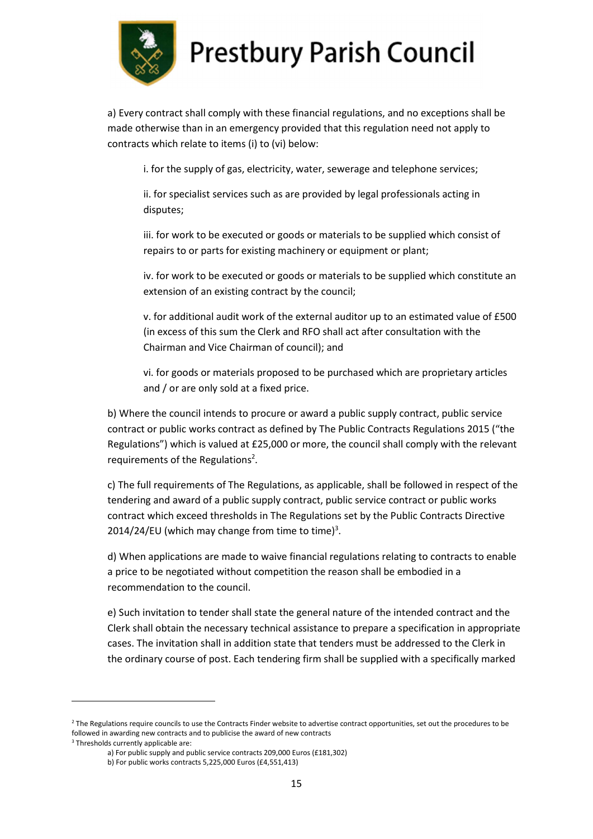

a) Every contract shall comply with these financial regulations, and no exceptions shall be made otherwise than in an emergency provided that this regulation need not apply to contracts which relate to items (i) to (vi) below:

i. for the supply of gas, electricity, water, sewerage and telephone services;

ii. for specialist services such as are provided by legal professionals acting in disputes;

iii. for work to be executed or goods or materials to be supplied which consist of repairs to or parts for existing machinery or equipment or plant;

iv. for work to be executed or goods or materials to be supplied which constitute an extension of an existing contract by the council;

v. for additional audit work of the external auditor up to an estimated value of £500 (in excess of this sum the Clerk and RFO shall act after consultation with the Chairman and Vice Chairman of council); and

vi. for goods or materials proposed to be purchased which are proprietary articles and / or are only sold at a fixed price.

b) Where the council intends to procure or award a public supply contract, public service contract or public works contract as defined by The Public Contracts Regulations 2015 ("the Regulations") which is valued at £25,000 or more, the council shall comply with the relevant requirements of the Regulations<sup>2</sup>.

c) The full requirements of The Regulations, as applicable, shall be followed in respect of the tendering and award of a public supply contract, public service contract or public works contract which exceed thresholds in The Regulations set by the Public Contracts Directive 2014/24/EU (which may change from time to time)<sup>3</sup>.

d) When applications are made to waive financial regulations relating to contracts to enable a price to be negotiated without competition the reason shall be embodied in a recommendation to the council.

e) Such invitation to tender shall state the general nature of the intended contract and the Clerk shall obtain the necessary technical assistance to prepare a specification in appropriate cases. The invitation shall in addition state that tenders must be addressed to the Clerk in the ordinary course of post. Each tendering firm shall be supplied with a specifically marked

<sup>&</sup>lt;sup>2</sup> The Regulations require councils to use the Contracts Finder website to advertise contract opportunities, set out the procedures to be followed in awarding new contracts and to publicise the award of new contracts

<sup>3</sup> Thresholds currently applicable are:

a) For public supply and public service contracts 209,000 Euros (£181,302)

b) For public works contracts 5,225,000 Euros (£4,551,413)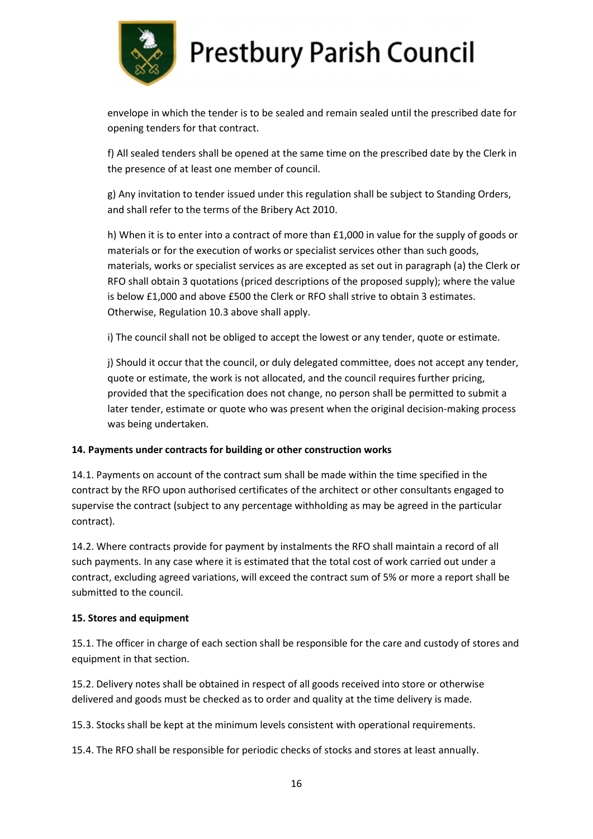

envelope in which the tender is to be sealed and remain sealed until the prescribed date for opening tenders for that contract.

f) All sealed tenders shall be opened at the same time on the prescribed date by the Clerk in the presence of at least one member of council.

g) Any invitation to tender issued under this regulation shall be subject to Standing Orders, and shall refer to the terms of the Bribery Act 2010.

h) When it is to enter into a contract of more than £1,000 in value for the supply of goods or materials or for the execution of works or specialist services other than such goods, materials, works or specialist services as are excepted as set out in paragraph (a) the Clerk or RFO shall obtain 3 quotations (priced descriptions of the proposed supply); where the value is below £1,000 and above £500 the Clerk or RFO shall strive to obtain 3 estimates. Otherwise, Regulation 10.3 above shall apply.

i) The council shall not be obliged to accept the lowest or any tender, quote or estimate.

j) Should it occur that the council, or duly delegated committee, does not accept any tender, quote or estimate, the work is not allocated, and the council requires further pricing, provided that the specification does not change, no person shall be permitted to submit a later tender, estimate or quote who was present when the original decision-making process was being undertaken.

#### 14. Payments under contracts for building or other construction works

14.1. Payments on account of the contract sum shall be made within the time specified in the contract by the RFO upon authorised certificates of the architect or other consultants engaged to supervise the contract (subject to any percentage withholding as may be agreed in the particular contract).

14.2. Where contracts provide for payment by instalments the RFO shall maintain a record of all such payments. In any case where it is estimated that the total cost of work carried out under a contract, excluding agreed variations, will exceed the contract sum of 5% or more a report shall be submitted to the council.

#### 15. Stores and equipment

15.1. The officer in charge of each section shall be responsible for the care and custody of stores and equipment in that section.

15.2. Delivery notes shall be obtained in respect of all goods received into store or otherwise delivered and goods must be checked as to order and quality at the time delivery is made.

15.3. Stocks shall be kept at the minimum levels consistent with operational requirements.

15.4. The RFO shall be responsible for periodic checks of stocks and stores at least annually.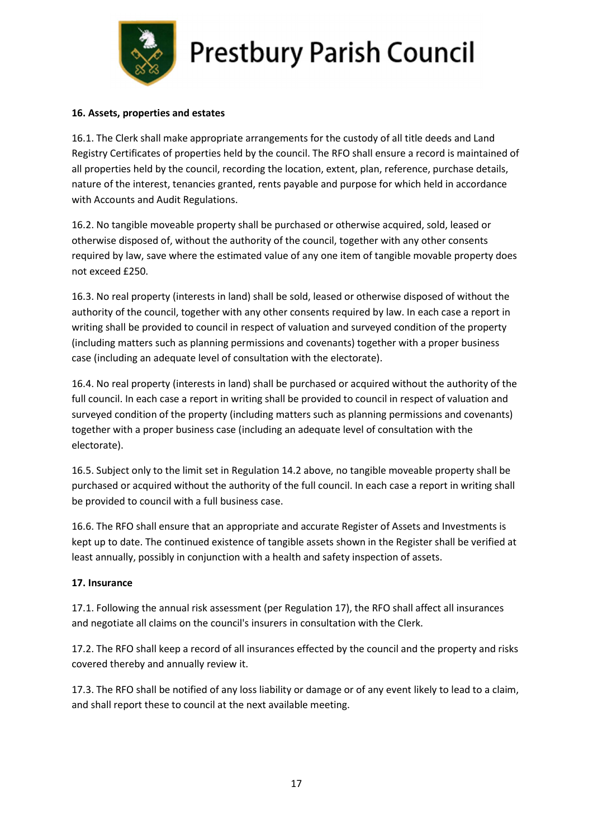

#### 16. Assets, properties and estates

16.1. The Clerk shall make appropriate arrangements for the custody of all title deeds and Land Registry Certificates of properties held by the council. The RFO shall ensure a record is maintained of all properties held by the council, recording the location, extent, plan, reference, purchase details, nature of the interest, tenancies granted, rents payable and purpose for which held in accordance with Accounts and Audit Regulations.

16.2. No tangible moveable property shall be purchased or otherwise acquired, sold, leased or otherwise disposed of, without the authority of the council, together with any other consents required by law, save where the estimated value of any one item of tangible movable property does not exceed £250.

16.3. No real property (interests in land) shall be sold, leased or otherwise disposed of without the authority of the council, together with any other consents required by law. In each case a report in writing shall be provided to council in respect of valuation and surveyed condition of the property (including matters such as planning permissions and covenants) together with a proper business case (including an adequate level of consultation with the electorate).

16.4. No real property (interests in land) shall be purchased or acquired without the authority of the full council. In each case a report in writing shall be provided to council in respect of valuation and surveyed condition of the property (including matters such as planning permissions and covenants) together with a proper business case (including an adequate level of consultation with the electorate).

16.5. Subject only to the limit set in Regulation 14.2 above, no tangible moveable property shall be purchased or acquired without the authority of the full council. In each case a report in writing shall be provided to council with a full business case.

16.6. The RFO shall ensure that an appropriate and accurate Register of Assets and Investments is kept up to date. The continued existence of tangible assets shown in the Register shall be verified at least annually, possibly in conjunction with a health and safety inspection of assets.

#### 17. Insurance

17.1. Following the annual risk assessment (per Regulation 17), the RFO shall affect all insurances and negotiate all claims on the council's insurers in consultation with the Clerk.

17.2. The RFO shall keep a record of all insurances effected by the council and the property and risks covered thereby and annually review it.

17.3. The RFO shall be notified of any loss liability or damage or of any event likely to lead to a claim, and shall report these to council at the next available meeting.